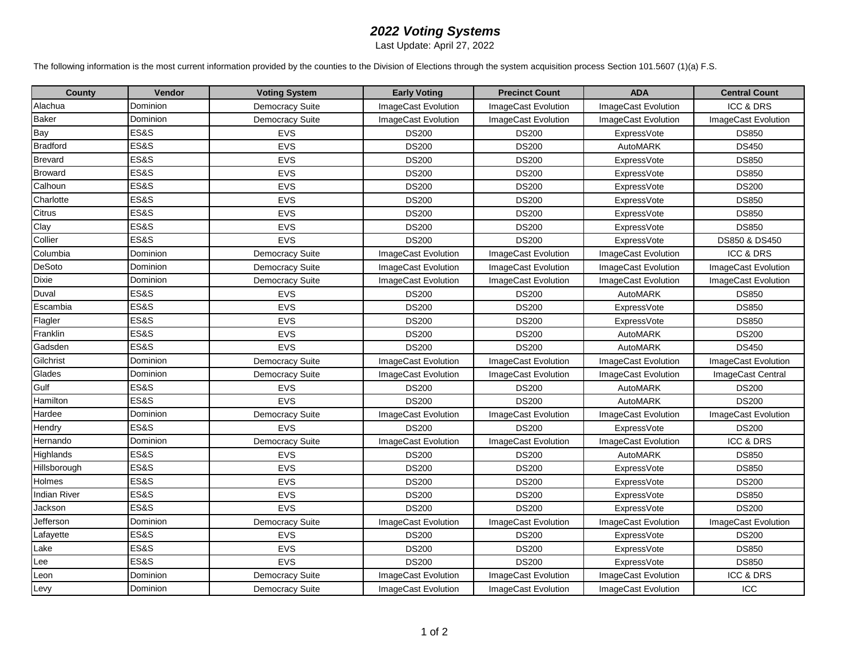## *2022 Voting Systems*

Last Update: April 27, 2022

The following information is the most current information provided by the counties to the Division of Elections through the system acquisition process Section 101.5607 (1)(a) F.S.

| <b>County</b>       | Vendor          | <b>Voting System</b>   | <b>Early Voting</b> | <b>Precinct Count</b> | <b>ADA</b>          | <b>Central Count</b> |
|---------------------|-----------------|------------------------|---------------------|-----------------------|---------------------|----------------------|
| Alachua             | Dominion        | <b>Democracy Suite</b> | ImageCast Evolution | ImageCast Evolution   | ImageCast Evolution | ICC & DRS            |
| <b>Baker</b>        | Dominion        | <b>Democracy Suite</b> | ImageCast Evolution | ImageCast Evolution   | ImageCast Evolution | ImageCast Evolution  |
| Bay                 | <b>ES&amp;S</b> | <b>EVS</b>             | <b>DS200</b>        | <b>DS200</b>          | <b>ExpressVote</b>  | <b>DS850</b>         |
| <b>Bradford</b>     | <b>ES&amp;S</b> | EVS                    | <b>DS200</b>        | <b>DS200</b>          | AutoMARK            | <b>DS450</b>         |
| <b>Brevard</b>      | <b>ES&amp;S</b> | EVS                    | <b>DS200</b>        | <b>DS200</b>          | <b>ExpressVote</b>  | <b>DS850</b>         |
| <b>Broward</b>      | <b>ES&amp;S</b> | EVS                    | <b>DS200</b>        | <b>DS200</b>          | <b>ExpressVote</b>  | <b>DS850</b>         |
| Calhoun             | ES&S            | EVS                    | <b>DS200</b>        | <b>DS200</b>          | <b>ExpressVote</b>  | <b>DS200</b>         |
| Charlotte           | <b>ES&amp;S</b> | EVS                    | <b>DS200</b>        | <b>DS200</b>          | <b>ExpressVote</b>  | <b>DS850</b>         |
| Citrus              | <b>ES&amp;S</b> | EVS                    | <b>DS200</b>        | <b>DS200</b>          | <b>ExpressVote</b>  | <b>DS850</b>         |
| Clay                | ES&S            | EVS                    | <b>DS200</b>        | <b>DS200</b>          | <b>ExpressVote</b>  | <b>DS850</b>         |
| Collier             | <b>ES&amp;S</b> | EVS                    | <b>DS200</b>        | <b>DS200</b>          | ExpressVote         | DS850 & DS450        |
| Columbia            | Dominion        | <b>Democracy Suite</b> | ImageCast Evolution | ImageCast Evolution   | ImageCast Evolution | ICC & DRS            |
| DeSoto              | Dominion        | <b>Democracy Suite</b> | ImageCast Evolution | ImageCast Evolution   | ImageCast Evolution | ImageCast Evolution  |
| <b>Dixie</b>        | Dominion        | <b>Democracy Suite</b> | ImageCast Evolution | ImageCast Evolution   | ImageCast Evolution | ImageCast Evolution  |
| Duval               | <b>ES&amp;S</b> | <b>EVS</b>             | <b>DS200</b>        | <b>DS200</b>          | AutoMARK            | <b>DS850</b>         |
| Escambia            | <b>ES&amp;S</b> | EVS                    | <b>DS200</b>        | <b>DS200</b>          | <b>ExpressVote</b>  | <b>DS850</b>         |
| Flagler             | <b>ES&amp;S</b> | EVS                    | <b>DS200</b>        | <b>DS200</b>          | <b>ExpressVote</b>  | <b>DS850</b>         |
| Franklin            | <b>ES&amp;S</b> | EVS                    | <b>DS200</b>        | <b>DS200</b>          | AutoMARK            | <b>DS200</b>         |
| Gadsden             | <b>ES&amp;S</b> | EVS                    | <b>DS200</b>        | <b>DS200</b>          | AutoMARK            | <b>DS450</b>         |
| Gilchrist           | Dominion        | <b>Democracy Suite</b> | ImageCast Evolution | ImageCast Evolution   | ImageCast Evolution | ImageCast Evolution  |
| Glades              | Dominion        | <b>Democracy Suite</b> | ImageCast Evolution | ImageCast Evolution   | ImageCast Evolution | ImageCast Central    |
| Gulf                | <b>ES&amp;S</b> | <b>EVS</b>             | <b>DS200</b>        | <b>DS200</b>          | AutoMARK            | <b>DS200</b>         |
| Hamilton            | <b>ES&amp;S</b> | EVS                    | <b>DS200</b>        | <b>DS200</b>          | AutoMARK            | <b>DS200</b>         |
| Hardee              | Dominion        | <b>Democracy Suite</b> | ImageCast Evolution | ImageCast Evolution   | ImageCast Evolution | ImageCast Evolution  |
| Hendry              | ES&S            | EVS                    | <b>DS200</b>        | <b>DS200</b>          | ExpressVote         | <b>DS200</b>         |
| Hernando            | Dominion        | <b>Democracy Suite</b> | ImageCast Evolution | ImageCast Evolution   | ImageCast Evolution | <b>ICC &amp; DRS</b> |
| Highlands           | <b>ES&amp;S</b> | <b>EVS</b>             | <b>DS200</b>        | <b>DS200</b>          | AutoMARK            | <b>DS850</b>         |
| Hillsborough        | ES&S            | EVS                    | <b>DS200</b>        | <b>DS200</b>          | <b>ExpressVote</b>  | <b>DS850</b>         |
| Holmes              | <b>ES&amp;S</b> | EVS                    | <b>DS200</b>        | <b>DS200</b>          | <b>ExpressVote</b>  | <b>DS200</b>         |
| <b>Indian River</b> | ES&S            | EVS                    | <b>DS200</b>        | <b>DS200</b>          | <b>ExpressVote</b>  | <b>DS850</b>         |
| Jackson             | <b>ES&amp;S</b> | EVS                    | <b>DS200</b>        | <b>DS200</b>          | ExpressVote         | <b>DS200</b>         |
| Jefferson           | Dominion        | <b>Democracy Suite</b> | ImageCast Evolution | ImageCast Evolution   | ImageCast Evolution | ImageCast Evolution  |
| Lafayette           | <b>ES&amp;S</b> | <b>EVS</b>             | <b>DS200</b>        | <b>DS200</b>          | ExpressVote         | <b>DS200</b>         |
| Lake                | ES&S            | EVS                    | <b>DS200</b>        | <b>DS200</b>          | <b>ExpressVote</b>  | <b>DS850</b>         |
| Lee                 | <b>ES&amp;S</b> | EVS                    | <b>DS200</b>        | <b>DS200</b>          | ExpressVote         | <b>DS850</b>         |
| Leon                | Dominion        | Democracy Suite        | ImageCast Evolution | ImageCast Evolution   | ImageCast Evolution | <b>ICC &amp; DRS</b> |
| Levy                | Dominion        | <b>Democracy Suite</b> | ImageCast Evolution | ImageCast Evolution   | ImageCast Evolution | ICC                  |